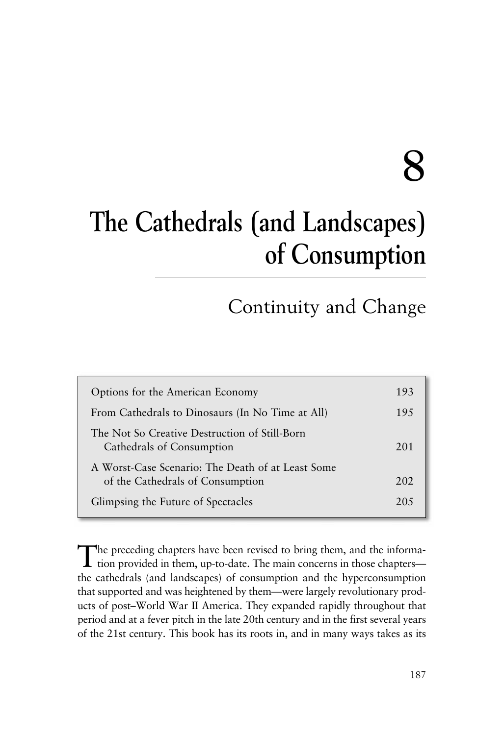# **8**

## **The Cathedrals (and Landscapes) of Consumption**

### Continuity and Change

| Options for the American Economy                                                      | 193 |
|---------------------------------------------------------------------------------------|-----|
| From Cathedrals to Dinosaurs (In No Time at All)                                      | 195 |
| The Not So Creative Destruction of Still-Born<br>Cathedrals of Consumption            | 201 |
| A Worst-Case Scenario: The Death of at Least Some<br>of the Cathedrals of Consumption | 202 |
| Glimpsing the Future of Spectacles                                                    | 205 |

The preceding chapters have been revised to bring them, and the information provided in them, up-to-date. The main concerns in those chapters the cathedrals (and landscapes) of consumption and the hyperconsumption that supported and was heightened by them—were largely revolutionary products of post–World War II America. They expanded rapidly throughout that period and at a fever pitch in the late 20th century and in the first several years of the 21st century. This book has its roots in, and in many ways takes as its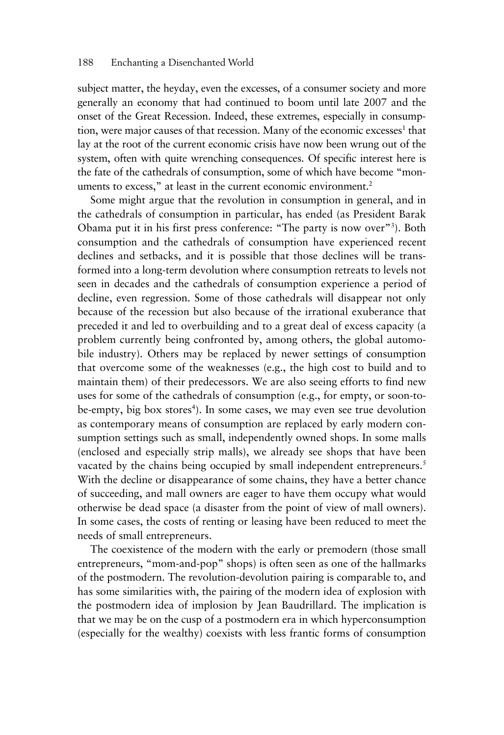subject matter, the heyday, even the excesses, of a consumer society and more generally an economy that had continued to boom until late 2007 and the onset of the Great Recession. Indeed, these extremes, especially in consumption, were major causes of that recession. Many of the economic excesses<sup>1</sup> that lay at the root of the current economic crisis have now been wrung out of the system, often with quite wrenching consequences. Of specific interest here is the fate of the cathedrals of consumption, some of which have become "monuments to excess," at least in the current economic environment.<sup>2</sup>

Some might argue that the revolution in consumption in general, and in the cathedrals of consumption in particular, has ended (as President Barak Obama put it in his first press conference: "The party is now over"<sup>3</sup>). Both consumption and the cathedrals of consumption have experienced recent declines and setbacks, and it is possible that those declines will be transformed into a long-term devolution where consumption retreats to levels not seen in decades and the cathedrals of consumption experience a period of decline, even regression. Some of those cathedrals will disappear not only because of the recession but also because of the irrational exuberance that preceded it and led to overbuilding and to a great deal of excess capacity (a problem currently being confronted by, among others, the global automobile industry). Others may be replaced by newer settings of consumption that overcome some of the weaknesses (e.g., the high cost to build and to maintain them) of their predecessors. We are also seeing efforts to find new uses for some of the cathedrals of consumption (e.g., for empty, or soon-tobe-empty, big box stores<sup>4</sup>). In some cases, we may even see true devolution as contemporary means of consumption are replaced by early modern consumption settings such as small, independently owned shops. In some malls (enclosed and especially strip malls), we already see shops that have been vacated by the chains being occupied by small independent entrepreneurs.<sup>5</sup> With the decline or disappearance of some chains, they have a better chance of succeeding, and mall owners are eager to have them occupy what would otherwise be dead space (a disaster from the point of view of mall owners). In some cases, the costs of renting or leasing have been reduced to meet the needs of small entrepreneurs.

The coexistence of the modern with the early or premodern (those small entrepreneurs, "mom-and-pop" shops) is often seen as one of the hallmarks of the postmodern. The revolution-devolution pairing is comparable to, and has some similarities with, the pairing of the modern idea of explosion with the postmodern idea of implosion by Jean Baudrillard. The implication is that we may be on the cusp of a postmodern era in which hyperconsumption (especially for the wealthy) coexists with less frantic forms of consumption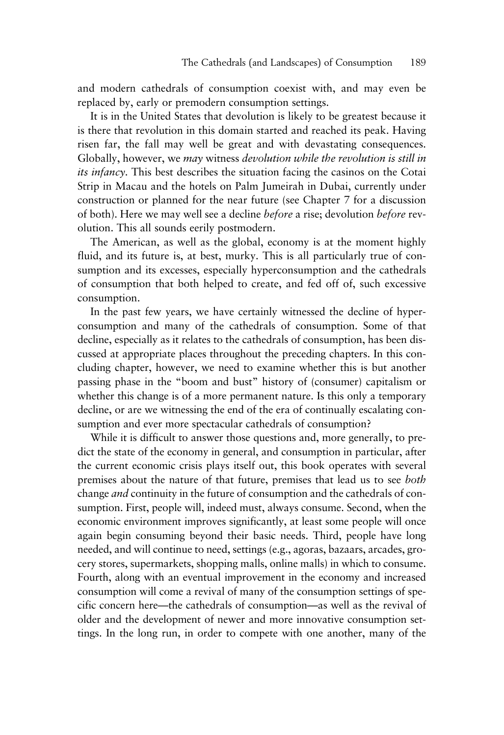and modern cathedrals of consumption coexist with, and may even be replaced by, early or premodern consumption settings.

It is in the United States that devolution is likely to be greatest because it is there that revolution in this domain started and reached its peak. Having risen far, the fall may well be great and with devastating consequences. Globally, however, we *may* witness *devolution while the revolution is still in its infancy.* This best describes the situation facing the casinos on the Cotai Strip in Macau and the hotels on Palm Jumeirah in Dubai, currently under construction or planned for the near future (see Chapter 7 for a discussion of both). Here we may well see a decline *before* a rise; devolution *before* revolution. This all sounds eerily postmodern.

The American, as well as the global, economy is at the moment highly fluid, and its future is, at best, murky. This is all particularly true of consumption and its excesses, especially hyperconsumption and the cathedrals of consumption that both helped to create, and fed off of, such excessive consumption.

In the past few years, we have certainly witnessed the decline of hyperconsumption and many of the cathedrals of consumption. Some of that decline, especially as it relates to the cathedrals of consumption, has been discussed at appropriate places throughout the preceding chapters. In this concluding chapter, however, we need to examine whether this is but another passing phase in the "boom and bust" history of (consumer) capitalism or whether this change is of a more permanent nature. Is this only a temporary decline, or are we witnessing the end of the era of continually escalating consumption and ever more spectacular cathedrals of consumption?

While it is difficult to answer those questions and, more generally, to predict the state of the economy in general, and consumption in particular, after the current economic crisis plays itself out, this book operates with several premises about the nature of that future, premises that lead us to see *both* change *and* continuity in the future of consumption and the cathedrals of consumption. First, people will, indeed must, always consume. Second, when the economic environment improves significantly, at least some people will once again begin consuming beyond their basic needs. Third, people have long needed, and will continue to need, settings (e.g., agoras, bazaars, arcades, grocery stores, supermarkets, shopping malls, online malls) in which to consume. Fourth, along with an eventual improvement in the economy and increased consumption will come a revival of many of the consumption settings of specific concern here—the cathedrals of consumption—as well as the revival of older and the development of newer and more innovative consumption settings. In the long run, in order to compete with one another, many of the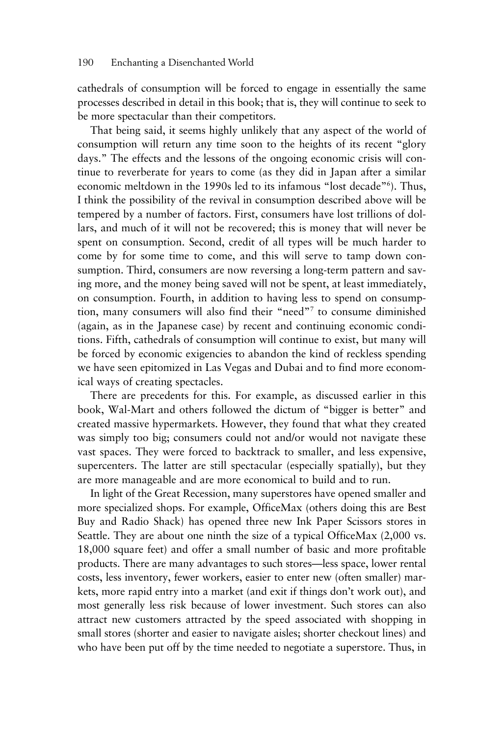cathedrals of consumption will be forced to engage in essentially the same processes described in detail in this book; that is, they will continue to seek to be more spectacular than their competitors.

That being said, it seems highly unlikely that any aspect of the world of consumption will return any time soon to the heights of its recent "glory days." The effects and the lessons of the ongoing economic crisis will continue to reverberate for years to come (as they did in Japan after a similar economic meltdown in the 1990s led to its infamous "lost decade"<sup>6</sup>). Thus, I think the possibility of the revival in consumption described above will be tempered by a number of factors. First, consumers have lost trillions of dollars, and much of it will not be recovered; this is money that will never be spent on consumption. Second, credit of all types will be much harder to come by for some time to come, and this will serve to tamp down consumption. Third, consumers are now reversing a long-term pattern and saving more, and the money being saved will not be spent, at least immediately, on consumption. Fourth, in addition to having less to spend on consumption, many consumers will also find their "need"7 to consume diminished (again, as in the Japanese case) by recent and continuing economic conditions. Fifth, cathedrals of consumption will continue to exist, but many will be forced by economic exigencies to abandon the kind of reckless spending we have seen epitomized in Las Vegas and Dubai and to find more economical ways of creating spectacles.

There are precedents for this. For example, as discussed earlier in this book, Wal-Mart and others followed the dictum of "bigger is better" and created massive hypermarkets. However, they found that what they created was simply too big; consumers could not and/or would not navigate these vast spaces. They were forced to backtrack to smaller, and less expensive, supercenters. The latter are still spectacular (especially spatially), but they are more manageable and are more economical to build and to run.

In light of the Great Recession, many superstores have opened smaller and more specialized shops. For example, OfficeMax (others doing this are Best Buy and Radio Shack) has opened three new Ink Paper Scissors stores in Seattle. They are about one ninth the size of a typical OfficeMax (2,000 vs. 18,000 square feet) and offer a small number of basic and more profitable products. There are many advantages to such stores—less space, lower rental costs, less inventory, fewer workers, easier to enter new (often smaller) markets, more rapid entry into a market (and exit if things don't work out), and most generally less risk because of lower investment. Such stores can also attract new customers attracted by the speed associated with shopping in small stores (shorter and easier to navigate aisles; shorter checkout lines) and who have been put off by the time needed to negotiate a superstore. Thus, in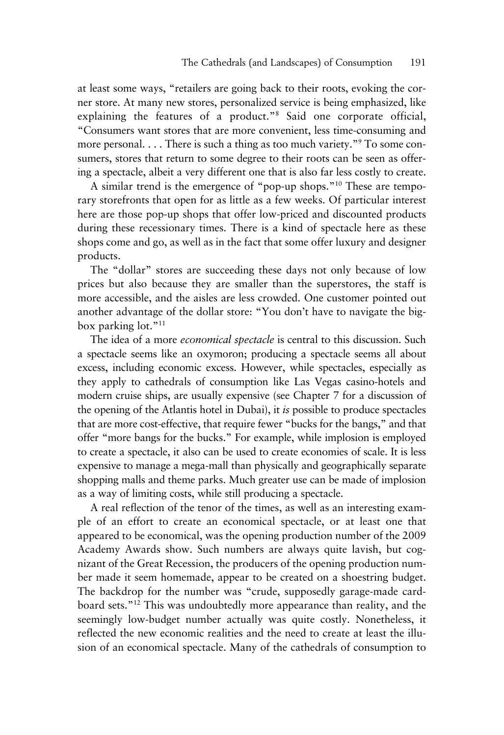at least some ways, "retailers are going back to their roots, evoking the corner store. At many new stores, personalized service is being emphasized, like explaining the features of a product."8 Said one corporate official, "Consumers want stores that are more convenient, less time-consuming and more personal. ... There is such a thing as too much variety."9 To some consumers, stores that return to some degree to their roots can be seen as offering a spectacle, albeit a very different one that is also far less costly to create.

A similar trend is the emergence of "pop-up shops."10 These are temporary storefronts that open for as little as a few weeks. Of particular interest here are those pop-up shops that offer low-priced and discounted products during these recessionary times. There is a kind of spectacle here as these shops come and go, as well as in the fact that some offer luxury and designer products.

The "dollar" stores are succeeding these days not only because of low prices but also because they are smaller than the superstores, the staff is more accessible, and the aisles are less crowded. One customer pointed out another advantage of the dollar store: "You don't have to navigate the bigbox parking lot."11

The idea of a more *economical spectacle* is central to this discussion. Such a spectacle seems like an oxymoron; producing a spectacle seems all about excess, including economic excess. However, while spectacles, especially as they apply to cathedrals of consumption like Las Vegas casino-hotels and modern cruise ships, are usually expensive (see Chapter 7 for a discussion of the opening of the Atlantis hotel in Dubai), it *is* possible to produce spectacles that are more cost-effective, that require fewer "bucks for the bangs," and that offer "more bangs for the bucks." For example, while implosion is employed to create a spectacle, it also can be used to create economies of scale. It is less expensive to manage a mega-mall than physically and geographically separate shopping malls and theme parks. Much greater use can be made of implosion as a way of limiting costs, while still producing a spectacle.

A real reflection of the tenor of the times, as well as an interesting example of an effort to create an economical spectacle, or at least one that appeared to be economical, was the opening production number of the 2009 Academy Awards show. Such numbers are always quite lavish, but cognizant of the Great Recession, the producers of the opening production number made it seem homemade, appear to be created on a shoestring budget. The backdrop for the number was "crude, supposedly garage-made cardboard sets."12 This was undoubtedly more appearance than reality, and the seemingly low-budget number actually was quite costly. Nonetheless, it reflected the new economic realities and the need to create at least the illusion of an economical spectacle. Many of the cathedrals of consumption to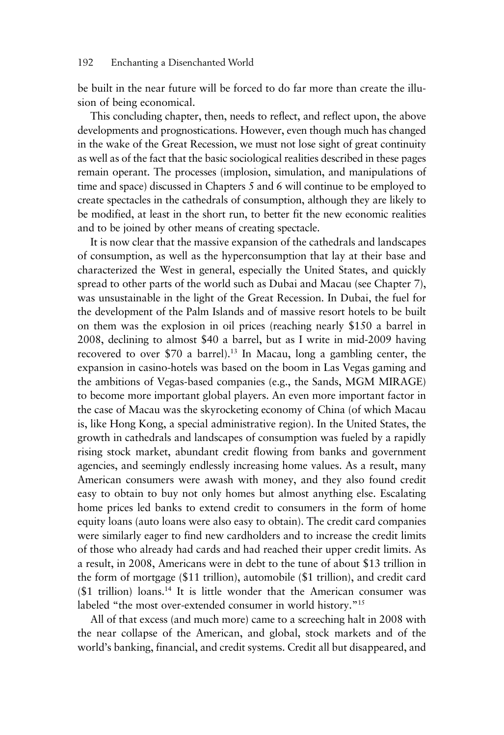#### 192 Enchanting a Disenchanted World

be built in the near future will be forced to do far more than create the illusion of being economical.

This concluding chapter, then, needs to reflect, and reflect upon, the above developments and prognostications. However, even though much has changed in the wake of the Great Recession, we must not lose sight of great continuity as well as of the fact that the basic sociological realities described in these pages remain operant. The processes (implosion, simulation, and manipulations of time and space) discussed in Chapters 5 and 6 will continue to be employed to create spectacles in the cathedrals of consumption, although they are likely to be modified, at least in the short run, to better fit the new economic realities and to be joined by other means of creating spectacle.

It is now clear that the massive expansion of the cathedrals and landscapes of consumption, as well as the hyperconsumption that lay at their base and characterized the West in general, especially the United States, and quickly spread to other parts of the world such as Dubai and Macau (see Chapter 7), was unsustainable in the light of the Great Recession. In Dubai, the fuel for the development of the Palm Islands and of massive resort hotels to be built on them was the explosion in oil prices (reaching nearly \$150 a barrel in 2008, declining to almost \$40 a barrel, but as I write in mid-2009 having recovered to over \$70 a barrel).<sup>13</sup> In Macau, long a gambling center, the expansion in casino-hotels was based on the boom in Las Vegas gaming and the ambitions of Vegas-based companies (e.g., the Sands, MGM MIRAGE) to become more important global players. An even more important factor in the case of Macau was the skyrocketing economy of China (of which Macau is, like Hong Kong, a special administrative region). In the United States, the growth in cathedrals and landscapes of consumption was fueled by a rapidly rising stock market, abundant credit flowing from banks and government agencies, and seemingly endlessly increasing home values. As a result, many American consumers were awash with money, and they also found credit easy to obtain to buy not only homes but almost anything else. Escalating home prices led banks to extend credit to consumers in the form of home equity loans (auto loans were also easy to obtain). The credit card companies were similarly eager to find new cardholders and to increase the credit limits of those who already had cards and had reached their upper credit limits. As a result, in 2008, Americans were in debt to the tune of about \$13 trillion in the form of mortgage (\$11 trillion), automobile (\$1 trillion), and credit card  $($1$  trillion) loans.<sup>14</sup> It is little wonder that the American consumer was labeled "the most over-extended consumer in world history."<sup>15</sup>

All of that excess (and much more) came to a screeching halt in 2008 with the near collapse of the American, and global, stock markets and of the world's banking, financial, and credit systems. Credit all but disappeared, and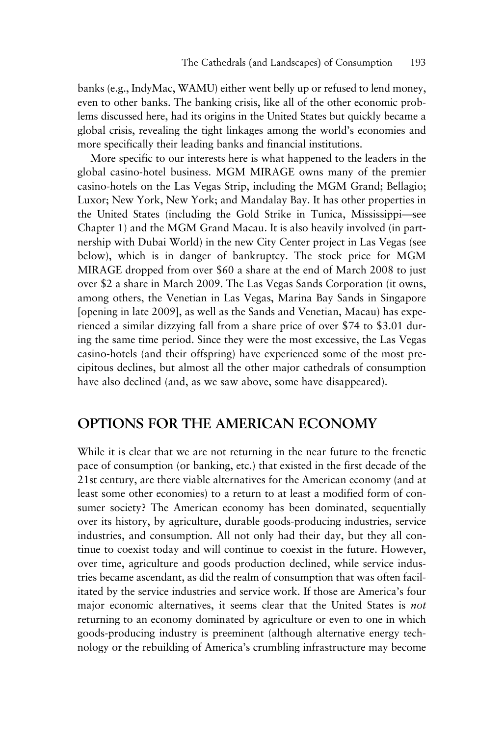banks (e.g., IndyMac, WAMU) either went belly up or refused to lend money, even to other banks. The banking crisis, like all of the other economic problems discussed here, had its origins in the United States but quickly became a global crisis, revealing the tight linkages among the world's economies and more specifically their leading banks and financial institutions.

More specific to our interests here is what happened to the leaders in the global casino-hotel business. MGM MIRAGE owns many of the premier casino-hotels on the Las Vegas Strip, including the MGM Grand; Bellagio; Luxor; New York, New York; and Mandalay Bay. It has other properties in the United States (including the Gold Strike in Tunica, Mississippi—see Chapter 1) and the MGM Grand Macau. It is also heavily involved (in partnership with Dubai World) in the new City Center project in Las Vegas (see below), which is in danger of bankruptcy. The stock price for MGM MIRAGE dropped from over \$60 a share at the end of March 2008 to just over \$2 a share in March 2009. The Las Vegas Sands Corporation (it owns, among others, the Venetian in Las Vegas, Marina Bay Sands in Singapore [opening in late 2009], as well as the Sands and Venetian, Macau) has experienced a similar dizzying fall from a share price of over \$74 to \$3.01 during the same time period. Since they were the most excessive, the Las Vegas casino-hotels (and their offspring) have experienced some of the most precipitous declines, but almost all the other major cathedrals of consumption have also declined (and, as we saw above, some have disappeared).

#### **OPTIONS FOR THE AMERICAN ECONOMY**

While it is clear that we are not returning in the near future to the frenetic pace of consumption (or banking, etc.) that existed in the first decade of the 21st century, are there viable alternatives for the American economy (and at least some other economies) to a return to at least a modified form of consumer society? The American economy has been dominated, sequentially over its history, by agriculture, durable goods-producing industries, service industries, and consumption. All not only had their day, but they all continue to coexist today and will continue to coexist in the future. However, over time, agriculture and goods production declined, while service industries became ascendant, as did the realm of consumption that was often facilitated by the service industries and service work. If those are America's four major economic alternatives, it seems clear that the United States is *not* returning to an economy dominated by agriculture or even to one in which goods-producing industry is preeminent (although alternative energy technology or the rebuilding of America's crumbling infrastructure may become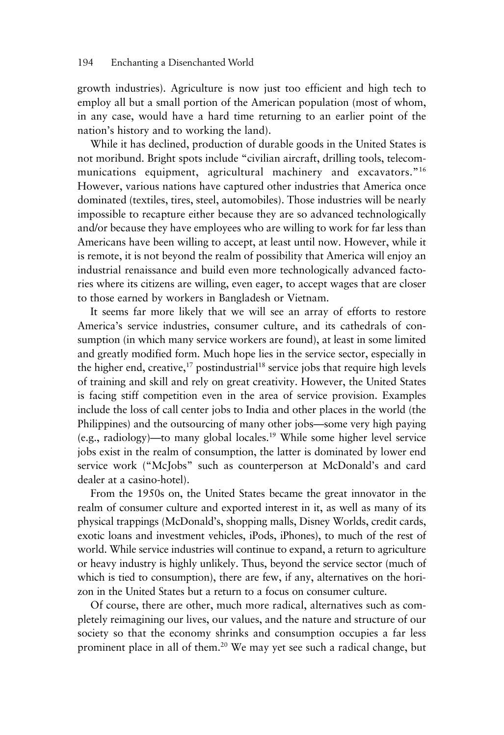growth industries). Agriculture is now just too efficient and high tech to employ all but a small portion of the American population (most of whom, in any case, would have a hard time returning to an earlier point of the nation's history and to working the land).

While it has declined, production of durable goods in the United States is not moribund. Bright spots include "civilian aircraft, drilling tools, telecommunications equipment, agricultural machinery and excavators."<sup>16</sup> However, various nations have captured other industries that America once dominated (textiles, tires, steel, automobiles). Those industries will be nearly impossible to recapture either because they are so advanced technologically and/or because they have employees who are willing to work for far less than Americans have been willing to accept, at least until now. However, while it is remote, it is not beyond the realm of possibility that America will enjoy an industrial renaissance and build even more technologically advanced factories where its citizens are willing, even eager, to accept wages that are closer to those earned by workers in Bangladesh or Vietnam.

It seems far more likely that we will see an array of efforts to restore America's service industries, consumer culture, and its cathedrals of consumption (in which many service workers are found), at least in some limited and greatly modified form. Much hope lies in the service sector, especially in the higher end, creative, $^{17}$  postindustrial<sup>18</sup> service jobs that require high levels of training and skill and rely on great creativity. However, the United States is facing stiff competition even in the area of service provision. Examples include the loss of call center jobs to India and other places in the world (the Philippines) and the outsourcing of many other jobs—some very high paying (e.g., radiology)—to many global locales.19 While some higher level service jobs exist in the realm of consumption, the latter is dominated by lower end service work ("McJobs" such as counterperson at McDonald's and card dealer at a casino-hotel).

From the 1950s on, the United States became the great innovator in the realm of consumer culture and exported interest in it, as well as many of its physical trappings (McDonald's, shopping malls, Disney Worlds, credit cards, exotic loans and investment vehicles, iPods, iPhones), to much of the rest of world. While service industries will continue to expand, a return to agriculture or heavy industry is highly unlikely. Thus, beyond the service sector (much of which is tied to consumption), there are few, if any, alternatives on the horizon in the United States but a return to a focus on consumer culture.

Of course, there are other, much more radical, alternatives such as completely reimagining our lives, our values, and the nature and structure of our society so that the economy shrinks and consumption occupies a far less prominent place in all of them.<sup>20</sup> We may yet see such a radical change, but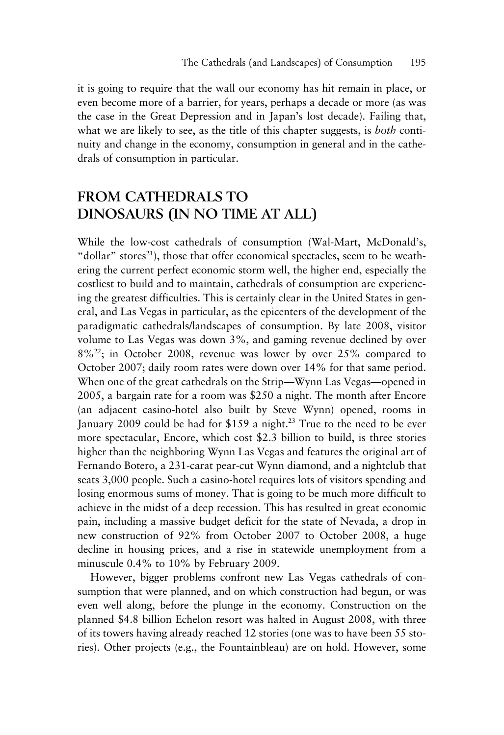it is going to require that the wall our economy has hit remain in place, or even become more of a barrier, for years, perhaps a decade or more (as was the case in the Great Depression and in Japan's lost decade). Failing that, what we are likely to see, as the title of this chapter suggests, is *both* continuity and change in the economy, consumption in general and in the cathedrals of consumption in particular.

#### **FROM CATHEDRALS TO DINOSAURS (IN NO TIME AT ALL)**

While the low-cost cathedrals of consumption (Wal-Mart, McDonald's, "dollar" stores<sup>21</sup>), those that offer economical spectacles, seem to be weathering the current perfect economic storm well, the higher end, especially the costliest to build and to maintain, cathedrals of consumption are experiencing the greatest difficulties. This is certainly clear in the United States in general, and Las Vegas in particular, as the epicenters of the development of the paradigmatic cathedrals/landscapes of consumption. By late 2008, visitor volume to Las Vegas was down 3%, and gaming revenue declined by over  $8\%^{22}$ ; in October 2008, revenue was lower by over 25% compared to October 2007; daily room rates were down over 14% for that same period. When one of the great cathedrals on the Strip—Wynn Las Vegas—opened in 2005, a bargain rate for a room was \$250 a night. The month after Encore (an adjacent casino-hotel also built by Steve Wynn) opened, rooms in January 2009 could be had for \$159 a night.<sup>23</sup> True to the need to be ever more spectacular, Encore, which cost \$2.3 billion to build, is three stories higher than the neighboring Wynn Las Vegas and features the original art of Fernando Botero, a 231-carat pear-cut Wynn diamond, and a nightclub that seats 3,000 people. Such a casino-hotel requires lots of visitors spending and losing enormous sums of money. That is going to be much more difficult to achieve in the midst of a deep recession. This has resulted in great economic pain, including a massive budget deficit for the state of Nevada, a drop in new construction of 92% from October 2007 to October 2008, a huge decline in housing prices, and a rise in statewide unemployment from a minuscule 0.4% to 10% by February 2009.

However, bigger problems confront new Las Vegas cathedrals of consumption that were planned, and on which construction had begun, or was even well along, before the plunge in the economy. Construction on the planned \$4.8 billion Echelon resort was halted in August 2008, with three of its towers having already reached 12 stories (one was to have been 55 stories). Other projects (e.g., the Fountainbleau) are on hold. However, some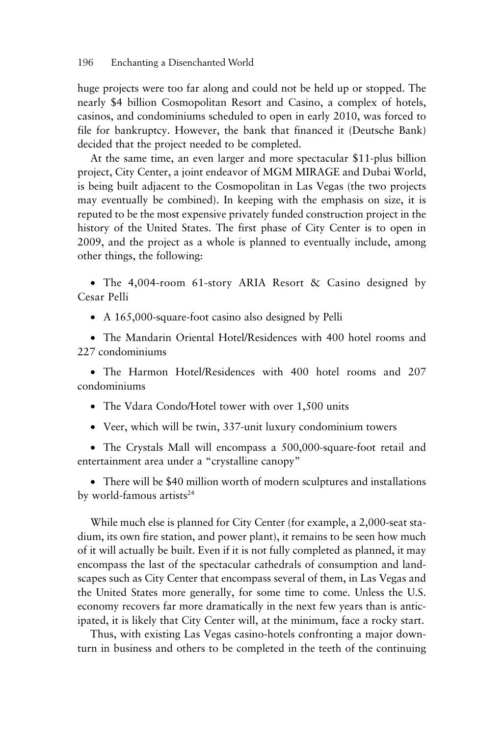huge projects were too far along and could not be held up or stopped. The nearly \$4 billion Cosmopolitan Resort and Casino, a complex of hotels, casinos, and condominiums scheduled to open in early 2010, was forced to file for bankruptcy. However, the bank that financed it (Deutsche Bank) decided that the project needed to be completed.

At the same time, an even larger and more spectacular \$11-plus billion project, City Center, a joint endeavor of MGM MIRAGE and Dubai World, is being built adjacent to the Cosmopolitan in Las Vegas (the two projects may eventually be combined). In keeping with the emphasis on size, it is reputed to be the most expensive privately funded construction project in the history of the United States. The first phase of City Center is to open in 2009, and the project as a whole is planned to eventually include, among other things, the following:

• The 4,004-room 61-story ARIA Resort & Casino designed by Cesar Pelli

• A 165,000-square-foot casino also designed by Pelli

• The Mandarin Oriental Hotel/Residences with 400 hotel rooms and 227 condominiums

• The Harmon Hotel/Residences with 400 hotel rooms and 207 condominiums

• The Vdara Condo/Hotel tower with over 1,500 units

• Veer, which will be twin, 337-unit luxury condominium towers

• The Crystals Mall will encompass a 500,000-square-foot retail and entertainment area under a "crystalline canopy"

• There will be \$40 million worth of modern sculptures and installations by world-famous artists<sup>24</sup>

While much else is planned for City Center (for example, a 2,000-seat stadium, its own fire station, and power plant), it remains to be seen how much of it will actually be built. Even if it is not fully completed as planned, it may encompass the last of the spectacular cathedrals of consumption and landscapes such as City Center that encompass several of them, in Las Vegas and the United States more generally, for some time to come. Unless the U.S. economy recovers far more dramatically in the next few years than is anticipated, it is likely that City Center will, at the minimum, face a rocky start.

Thus, with existing Las Vegas casino-hotels confronting a major downturn in business and others to be completed in the teeth of the continuing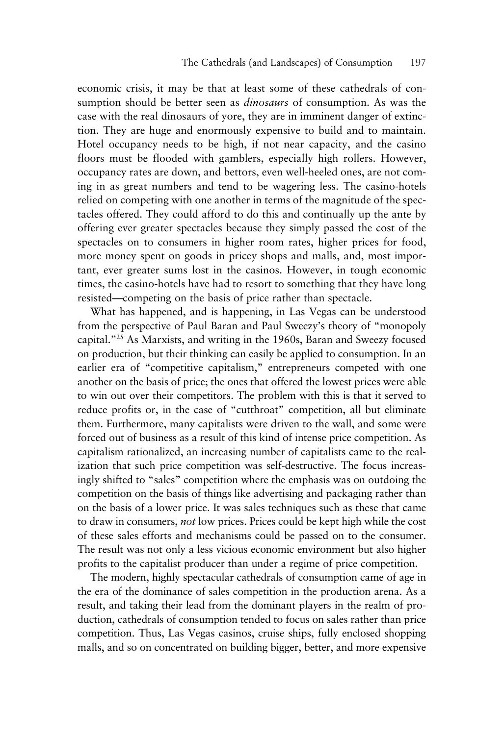economic crisis, it may be that at least some of these cathedrals of consumption should be better seen as *dinosaurs* of consumption. As was the case with the real dinosaurs of yore, they are in imminent danger of extinction. They are huge and enormously expensive to build and to maintain. Hotel occupancy needs to be high, if not near capacity, and the casino floors must be flooded with gamblers, especially high rollers. However, occupancy rates are down, and bettors, even well-heeled ones, are not coming in as great numbers and tend to be wagering less. The casino-hotels relied on competing with one another in terms of the magnitude of the spectacles offered. They could afford to do this and continually up the ante by offering ever greater spectacles because they simply passed the cost of the spectacles on to consumers in higher room rates, higher prices for food, more money spent on goods in pricey shops and malls, and, most important, ever greater sums lost in the casinos. However, in tough economic times, the casino-hotels have had to resort to something that they have long resisted—competing on the basis of price rather than spectacle.

What has happened, and is happening, in Las Vegas can be understood from the perspective of Paul Baran and Paul Sweezy's theory of "monopoly capital."25 As Marxists, and writing in the 1960s, Baran and Sweezy focused on production, but their thinking can easily be applied to consumption. In an earlier era of "competitive capitalism," entrepreneurs competed with one another on the basis of price; the ones that offered the lowest prices were able to win out over their competitors. The problem with this is that it served to reduce profits or, in the case of "cutthroat" competition, all but eliminate them. Furthermore, many capitalists were driven to the wall, and some were forced out of business as a result of this kind of intense price competition. As capitalism rationalized, an increasing number of capitalists came to the realization that such price competition was self-destructive. The focus increasingly shifted to "sales" competition where the emphasis was on outdoing the competition on the basis of things like advertising and packaging rather than on the basis of a lower price. It was sales techniques such as these that came to draw in consumers, *not* low prices. Prices could be kept high while the cost of these sales efforts and mechanisms could be passed on to the consumer. The result was not only a less vicious economic environment but also higher profits to the capitalist producer than under a regime of price competition.

The modern, highly spectacular cathedrals of consumption came of age in the era of the dominance of sales competition in the production arena. As a result, and taking their lead from the dominant players in the realm of production, cathedrals of consumption tended to focus on sales rather than price competition. Thus, Las Vegas casinos, cruise ships, fully enclosed shopping malls, and so on concentrated on building bigger, better, and more expensive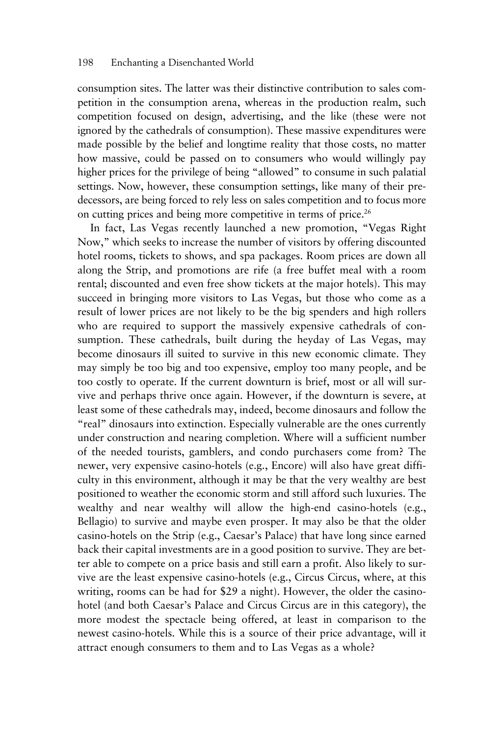consumption sites. The latter was their distinctive contribution to sales competition in the consumption arena, whereas in the production realm, such competition focused on design, advertising, and the like (these were not ignored by the cathedrals of consumption). These massive expenditures were made possible by the belief and longtime reality that those costs, no matter how massive, could be passed on to consumers who would willingly pay higher prices for the privilege of being "allowed" to consume in such palatial settings. Now, however, these consumption settings, like many of their predecessors, are being forced to rely less on sales competition and to focus more on cutting prices and being more competitive in terms of price.<sup>26</sup>

In fact, Las Vegas recently launched a new promotion, "Vegas Right Now," which seeks to increase the number of visitors by offering discounted hotel rooms, tickets to shows, and spa packages. Room prices are down all along the Strip, and promotions are rife (a free buffet meal with a room rental; discounted and even free show tickets at the major hotels). This may succeed in bringing more visitors to Las Vegas, but those who come as a result of lower prices are not likely to be the big spenders and high rollers who are required to support the massively expensive cathedrals of consumption. These cathedrals, built during the heyday of Las Vegas, may become dinosaurs ill suited to survive in this new economic climate. They may simply be too big and too expensive, employ too many people, and be too costly to operate. If the current downturn is brief, most or all will survive and perhaps thrive once again. However, if the downturn is severe, at least some of these cathedrals may, indeed, become dinosaurs and follow the "real" dinosaurs into extinction. Especially vulnerable are the ones currently under construction and nearing completion. Where will a sufficient number of the needed tourists, gamblers, and condo purchasers come from? The newer, very expensive casino-hotels (e.g., Encore) will also have great difficulty in this environment, although it may be that the very wealthy are best positioned to weather the economic storm and still afford such luxuries. The wealthy and near wealthy will allow the high-end casino-hotels (e.g., Bellagio) to survive and maybe even prosper. It may also be that the older casino-hotels on the Strip (e.g., Caesar's Palace) that have long since earned back their capital investments are in a good position to survive. They are better able to compete on a price basis and still earn a profit. Also likely to survive are the least expensive casino-hotels (e.g., Circus Circus, where, at this writing, rooms can be had for \$29 a night). However, the older the casinohotel (and both Caesar's Palace and Circus Circus are in this category), the more modest the spectacle being offered, at least in comparison to the newest casino-hotels. While this is a source of their price advantage, will it attract enough consumers to them and to Las Vegas as a whole?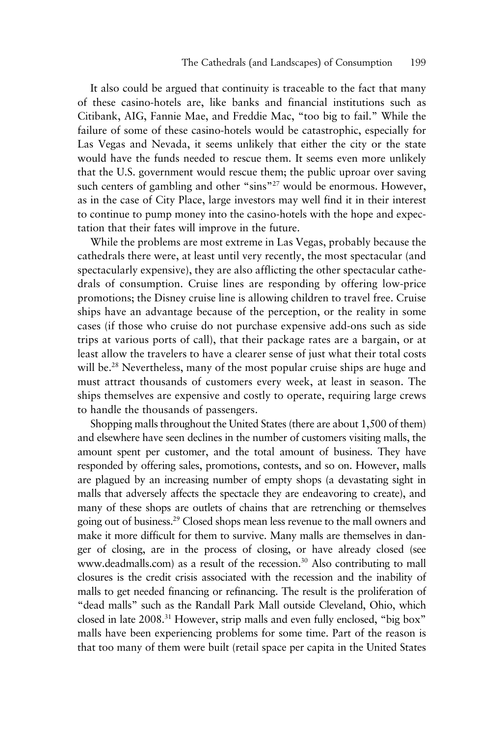It also could be argued that continuity is traceable to the fact that many of these casino-hotels are, like banks and financial institutions such as Citibank, AIG, Fannie Mae, and Freddie Mac, "too big to fail." While the failure of some of these casino-hotels would be catastrophic, especially for Las Vegas and Nevada, it seems unlikely that either the city or the state would have the funds needed to rescue them. It seems even more unlikely that the U.S. government would rescue them; the public uproar over saving such centers of gambling and other "sins"<sup>27</sup> would be enormous. However, as in the case of City Place, large investors may well find it in their interest to continue to pump money into the casino-hotels with the hope and expectation that their fates will improve in the future.

While the problems are most extreme in Las Vegas, probably because the cathedrals there were, at least until very recently, the most spectacular (and spectacularly expensive), they are also afflicting the other spectacular cathedrals of consumption. Cruise lines are responding by offering low-price promotions; the Disney cruise line is allowing children to travel free. Cruise ships have an advantage because of the perception, or the reality in some cases (if those who cruise do not purchase expensive add-ons such as side trips at various ports of call), that their package rates are a bargain, or at least allow the travelers to have a clearer sense of just what their total costs will be.<sup>28</sup> Nevertheless, many of the most popular cruise ships are huge and must attract thousands of customers every week, at least in season. The ships themselves are expensive and costly to operate, requiring large crews to handle the thousands of passengers.

Shopping malls throughout the United States (there are about 1,500 of them) and elsewhere have seen declines in the number of customers visiting malls, the amount spent per customer, and the total amount of business. They have responded by offering sales, promotions, contests, and so on. However, malls are plagued by an increasing number of empty shops (a devastating sight in malls that adversely affects the spectacle they are endeavoring to create), and many of these shops are outlets of chains that are retrenching or themselves going out of business.29 Closed shops mean less revenue to the mall owners and make it more difficult for them to survive. Many malls are themselves in danger of closing, are in the process of closing, or have already closed (see www.deadmalls.com) as a result of the recession.<sup>30</sup> Also contributing to mall closures is the credit crisis associated with the recession and the inability of malls to get needed financing or refinancing. The result is the proliferation of "dead malls" such as the Randall Park Mall outside Cleveland, Ohio, which closed in late 2008.<sup>31</sup> However, strip malls and even fully enclosed, "big box" malls have been experiencing problems for some time. Part of the reason is that too many of them were built (retail space per capita in the United States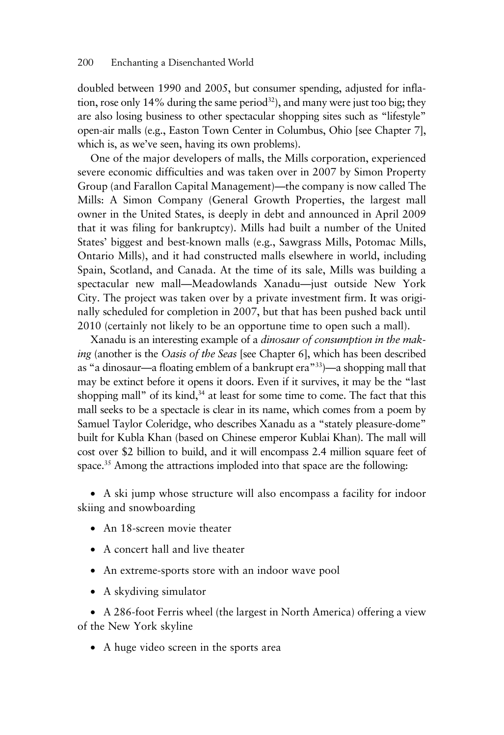doubled between 1990 and 2005, but consumer spending, adjusted for inflation, rose only 14% during the same period<sup>32</sup>), and many were just too big; they are also losing business to other spectacular shopping sites such as "lifestyle" open-air malls (e.g., Easton Town Center in Columbus, Ohio [see Chapter 7], which is, as we've seen, having its own problems).

One of the major developers of malls, the Mills corporation, experienced severe economic difficulties and was taken over in 2007 by Simon Property Group (and Farallon Capital Management)—the company is now called The Mills: A Simon Company (General Growth Properties, the largest mall owner in the United States, is deeply in debt and announced in April 2009 that it was filing for bankruptcy). Mills had built a number of the United States' biggest and best-known malls (e.g., Sawgrass Mills, Potomac Mills, Ontario Mills), and it had constructed malls elsewhere in world, including Spain, Scotland, and Canada. At the time of its sale, Mills was building a spectacular new mall—Meadowlands Xanadu—just outside New York City. The project was taken over by a private investment firm. It was originally scheduled for completion in 2007, but that has been pushed back until 2010 (certainly not likely to be an opportune time to open such a mall).

Xanadu is an interesting example of a *dinosaur of consumption in the making* (another is the *Oasis of the Seas* [see Chapter 6], which has been described as "a dinosaur—a floating emblem of a bankrupt era"33)—a shopping mall that may be extinct before it opens it doors. Even if it survives, it may be the "last shopping mall" of its kind, $34$  at least for some time to come. The fact that this mall seeks to be a spectacle is clear in its name, which comes from a poem by Samuel Taylor Coleridge, who describes Xanadu as a "stately pleasure-dome" built for Kubla Khan (based on Chinese emperor Kublai Khan). The mall will cost over \$2 billion to build, and it will encompass 2.4 million square feet of space.<sup>35</sup> Among the attractions imploded into that space are the following:

• A ski jump whose structure will also encompass a facility for indoor skiing and snowboarding

- An 18-screen movie theater
- A concert hall and live theater
- An extreme-sports store with an indoor wave pool
- A skydiving simulator

• A 286-foot Ferris wheel (the largest in North America) offering a view of the New York skyline

• A huge video screen in the sports area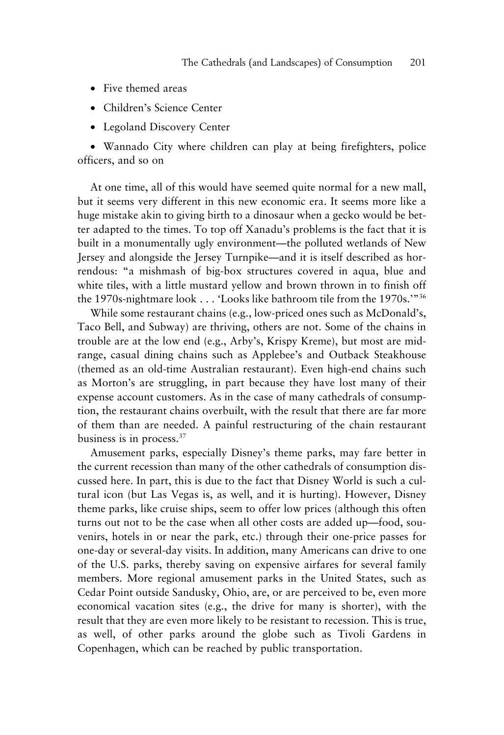- Five themed areas
- Children's Science Center
- Legoland Discovery Center

• Wannado City where children can play at being firefighters, police officers, and so on

At one time, all of this would have seemed quite normal for a new mall, but it seems very different in this new economic era. It seems more like a huge mistake akin to giving birth to a dinosaur when a gecko would be better adapted to the times. To top off Xanadu's problems is the fact that it is built in a monumentally ugly environment—the polluted wetlands of New Jersey and alongside the Jersey Turnpike—and it is itself described as horrendous: "a mishmash of big-box structures covered in aqua, blue and white tiles, with a little mustard yellow and brown thrown in to finish off the 1970s-nightmare look ... 'Looks like bathroom tile from the 1970s.'"36

While some restaurant chains (e.g., low-priced ones such as McDonald's, Taco Bell, and Subway) are thriving, others are not. Some of the chains in trouble are at the low end (e.g., Arby's, Krispy Kreme), but most are midrange, casual dining chains such as Applebee's and Outback Steakhouse (themed as an old-time Australian restaurant). Even high-end chains such as Morton's are struggling, in part because they have lost many of their expense account customers. As in the case of many cathedrals of consumption, the restaurant chains overbuilt, with the result that there are far more of them than are needed. A painful restructuring of the chain restaurant business is in process.37

Amusement parks, especially Disney's theme parks, may fare better in the current recession than many of the other cathedrals of consumption discussed here. In part, this is due to the fact that Disney World is such a cultural icon (but Las Vegas is, as well, and it is hurting). However, Disney theme parks, like cruise ships, seem to offer low prices (although this often turns out not to be the case when all other costs are added up—food, souvenirs, hotels in or near the park, etc.) through their one-price passes for one-day or several-day visits. In addition, many Americans can drive to one of the U.S. parks, thereby saving on expensive airfares for several family members. More regional amusement parks in the United States, such as Cedar Point outside Sandusky, Ohio, are, or are perceived to be, even more economical vacation sites (e.g., the drive for many is shorter), with the result that they are even more likely to be resistant to recession. This is true, as well, of other parks around the globe such as Tivoli Gardens in Copenhagen, which can be reached by public transportation.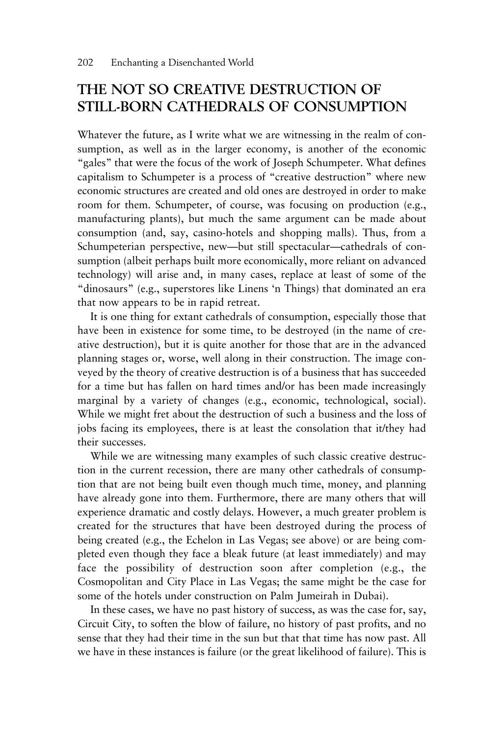#### **THE NOT SO CREATIVE DESTRUCTION OF STILL-BORN CATHEDRALS OF CONSUMPTION**

Whatever the future, as I write what we are witnessing in the realm of consumption, as well as in the larger economy, is another of the economic "gales" that were the focus of the work of Joseph Schumpeter. What defines capitalism to Schumpeter is a process of "creative destruction" where new economic structures are created and old ones are destroyed in order to make room for them. Schumpeter, of course, was focusing on production (e.g., manufacturing plants), but much the same argument can be made about consumption (and, say, casino-hotels and shopping malls). Thus, from a Schumpeterian perspective, new—but still spectacular—cathedrals of consumption (albeit perhaps built more economically, more reliant on advanced technology) will arise and, in many cases, replace at least of some of the "dinosaurs" (e.g., superstores like Linens 'n Things) that dominated an era that now appears to be in rapid retreat.

It is one thing for extant cathedrals of consumption, especially those that have been in existence for some time, to be destroyed (in the name of creative destruction), but it is quite another for those that are in the advanced planning stages or, worse, well along in their construction. The image conveyed by the theory of creative destruction is of a business that has succeeded for a time but has fallen on hard times and/or has been made increasingly marginal by a variety of changes (e.g., economic, technological, social). While we might fret about the destruction of such a business and the loss of jobs facing its employees, there is at least the consolation that it/they had their successes.

While we are witnessing many examples of such classic creative destruction in the current recession, there are many other cathedrals of consumption that are not being built even though much time, money, and planning have already gone into them. Furthermore, there are many others that will experience dramatic and costly delays. However, a much greater problem is created for the structures that have been destroyed during the process of being created (e.g., the Echelon in Las Vegas; see above) or are being completed even though they face a bleak future (at least immediately) and may face the possibility of destruction soon after completion (e.g., the Cosmopolitan and City Place in Las Vegas; the same might be the case for some of the hotels under construction on Palm Jumeirah in Dubai).

In these cases, we have no past history of success, as was the case for, say, Circuit City, to soften the blow of failure, no history of past profits, and no sense that they had their time in the sun but that that time has now past. All we have in these instances is failure (or the great likelihood of failure). This is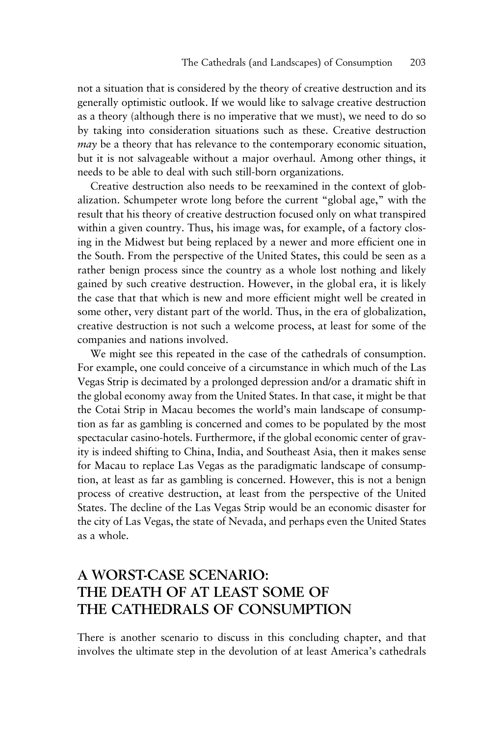not a situation that is considered by the theory of creative destruction and its generally optimistic outlook. If we would like to salvage creative destruction as a theory (although there is no imperative that we must), we need to do so by taking into consideration situations such as these. Creative destruction *may* be a theory that has relevance to the contemporary economic situation, but it is not salvageable without a major overhaul. Among other things, it needs to be able to deal with such still-born organizations.

Creative destruction also needs to be reexamined in the context of globalization. Schumpeter wrote long before the current "global age," with the result that his theory of creative destruction focused only on what transpired within a given country. Thus, his image was, for example, of a factory closing in the Midwest but being replaced by a newer and more efficient one in the South. From the perspective of the United States, this could be seen as a rather benign process since the country as a whole lost nothing and likely gained by such creative destruction. However, in the global era, it is likely the case that that which is new and more efficient might well be created in some other, very distant part of the world. Thus, in the era of globalization, creative destruction is not such a welcome process, at least for some of the companies and nations involved.

We might see this repeated in the case of the cathedrals of consumption. For example, one could conceive of a circumstance in which much of the Las Vegas Strip is decimated by a prolonged depression and/or a dramatic shift in the global economy away from the United States. In that case, it might be that the Cotai Strip in Macau becomes the world's main landscape of consumption as far as gambling is concerned and comes to be populated by the most spectacular casino-hotels. Furthermore, if the global economic center of gravity is indeed shifting to China, India, and Southeast Asia, then it makes sense for Macau to replace Las Vegas as the paradigmatic landscape of consumption, at least as far as gambling is concerned. However, this is not a benign process of creative destruction, at least from the perspective of the United States. The decline of the Las Vegas Strip would be an economic disaster for the city of Las Vegas, the state of Nevada, and perhaps even the United States as a whole.

#### **A WORST-CASE SCENARIO: THE DEATH OF AT LEAST SOME OF THE CATHEDRALS OF CONSUMPTION**

There is another scenario to discuss in this concluding chapter, and that involves the ultimate step in the devolution of at least America's cathedrals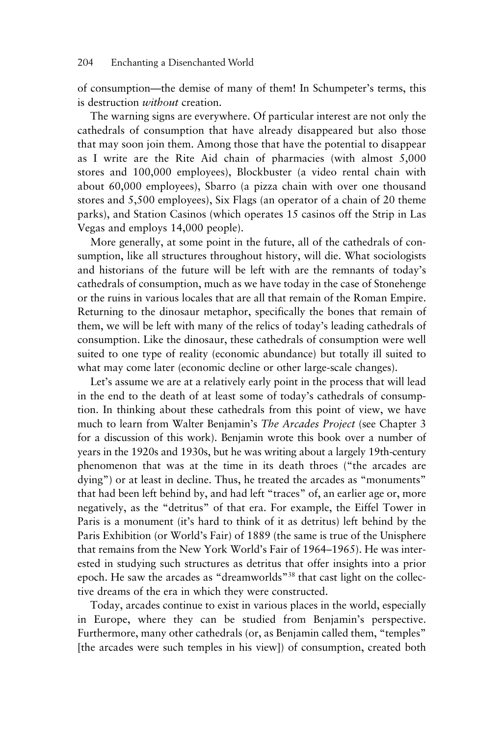of consumption—the demise of many of them! In Schumpeter's terms, this is destruction *without* creation.

The warning signs are everywhere. Of particular interest are not only the cathedrals of consumption that have already disappeared but also those that may soon join them. Among those that have the potential to disappear as I write are the Rite Aid chain of pharmacies (with almost 5,000 stores and 100,000 employees), Blockbuster (a video rental chain with about 60,000 employees), Sbarro (a pizza chain with over one thousand stores and 5,500 employees), Six Flags (an operator of a chain of 20 theme parks), and Station Casinos (which operates 15 casinos off the Strip in Las Vegas and employs 14,000 people).

More generally, at some point in the future, all of the cathedrals of consumption, like all structures throughout history, will die. What sociologists and historians of the future will be left with are the remnants of today's cathedrals of consumption, much as we have today in the case of Stonehenge or the ruins in various locales that are all that remain of the Roman Empire. Returning to the dinosaur metaphor, specifically the bones that remain of them, we will be left with many of the relics of today's leading cathedrals of consumption. Like the dinosaur, these cathedrals of consumption were well suited to one type of reality (economic abundance) but totally ill suited to what may come later (economic decline or other large-scale changes).

Let's assume we are at a relatively early point in the process that will lead in the end to the death of at least some of today's cathedrals of consumption. In thinking about these cathedrals from this point of view, we have much to learn from Walter Benjamin's *The Arcades Project* (see Chapter 3 for a discussion of this work). Benjamin wrote this book over a number of years in the 1920s and 1930s, but he was writing about a largely 19th-century phenomenon that was at the time in its death throes ("the arcades are dying") or at least in decline. Thus, he treated the arcades as "monuments" that had been left behind by, and had left "traces" of, an earlier age or, more negatively, as the "detritus" of that era. For example, the Eiffel Tower in Paris is a monument (it's hard to think of it as detritus) left behind by the Paris Exhibition (or World's Fair) of 1889 (the same is true of the Unisphere that remains from the New York World's Fair of 1964–1965). He was interested in studying such structures as detritus that offer insights into a prior epoch. He saw the arcades as "dreamworlds"38 that cast light on the collective dreams of the era in which they were constructed.

Today, arcades continue to exist in various places in the world, especially in Europe, where they can be studied from Benjamin's perspective. Furthermore, many other cathedrals (or, as Benjamin called them, "temples" [the arcades were such temples in his view]) of consumption, created both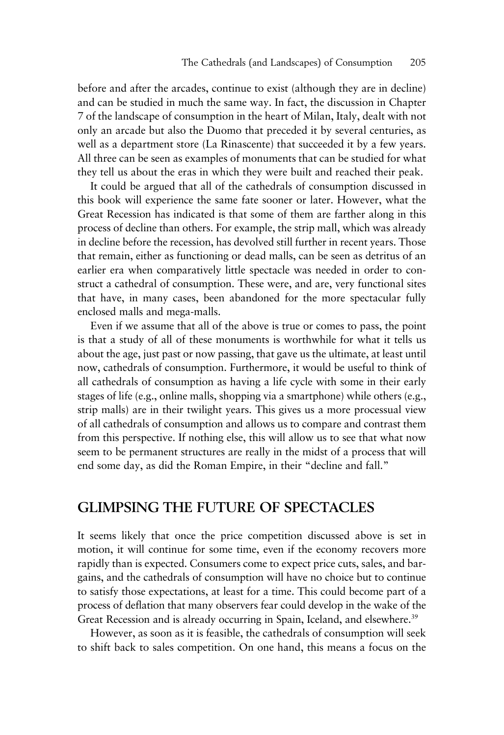before and after the arcades, continue to exist (although they are in decline) and can be studied in much the same way. In fact, the discussion in Chapter 7 of the landscape of consumption in the heart of Milan, Italy, dealt with not only an arcade but also the Duomo that preceded it by several centuries, as well as a department store (La Rinascente) that succeeded it by a few years. All three can be seen as examples of monuments that can be studied for what they tell us about the eras in which they were built and reached their peak.

It could be argued that all of the cathedrals of consumption discussed in this book will experience the same fate sooner or later. However, what the Great Recession has indicated is that some of them are farther along in this process of decline than others. For example, the strip mall, which was already in decline before the recession, has devolved still further in recent years. Those that remain, either as functioning or dead malls, can be seen as detritus of an earlier era when comparatively little spectacle was needed in order to construct a cathedral of consumption. These were, and are, very functional sites that have, in many cases, been abandoned for the more spectacular fully enclosed malls and mega-malls.

Even if we assume that all of the above is true or comes to pass, the point is that a study of all of these monuments is worthwhile for what it tells us about the age, just past or now passing, that gave us the ultimate, at least until now, cathedrals of consumption. Furthermore, it would be useful to think of all cathedrals of consumption as having a life cycle with some in their early stages of life (e.g., online malls, shopping via a smartphone) while others (e.g., strip malls) are in their twilight years. This gives us a more processual view of all cathedrals of consumption and allows us to compare and contrast them from this perspective. If nothing else, this will allow us to see that what now seem to be permanent structures are really in the midst of a process that will end some day, as did the Roman Empire, in their "decline and fall."

#### **GLIMPSING THE FUTURE OF SPECTACLES**

It seems likely that once the price competition discussed above is set in motion, it will continue for some time, even if the economy recovers more rapidly than is expected. Consumers come to expect price cuts, sales, and bargains, and the cathedrals of consumption will have no choice but to continue to satisfy those expectations, at least for a time. This could become part of a process of deflation that many observers fear could develop in the wake of the Great Recession and is already occurring in Spain, Iceland, and elsewhere.<sup>39</sup>

However, as soon as it is feasible, the cathedrals of consumption will seek to shift back to sales competition. On one hand, this means a focus on the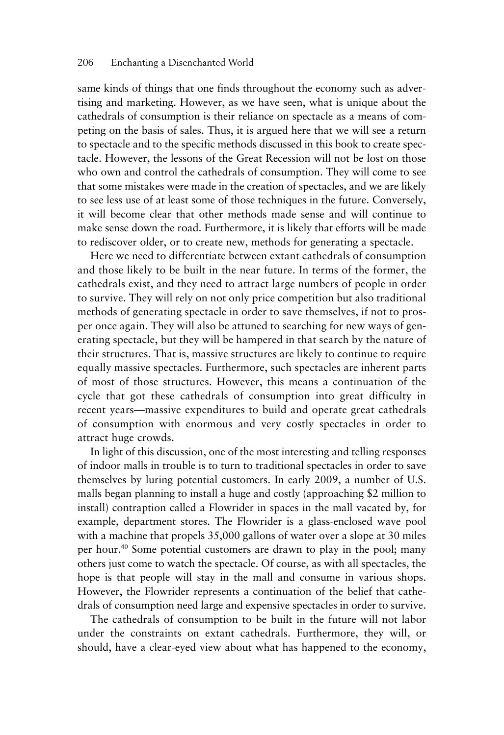same kinds of things that one finds throughout the economy such as advertising and marketing. However, as we have seen, what is unique about the cathedrals of consumption is their reliance on spectacle as a means of competing on the basis of sales. Thus, it is argued here that we will see a return to spectacle and to the specific methods discussed in this book to create spectacle. However, the lessons of the Great Recession will not be lost on those who own and control the cathedrals of consumption. They will come to see that some mistakes were made in the creation of spectacles, and we are likely to see less use of at least some of those techniques in the future. Conversely, it will become clear that other methods made sense and will continue to make sense down the road. Furthermore, it is likely that efforts will be made to rediscover older, or to create new, methods for generating a spectacle.

Here we need to differentiate between extant cathedrals of consumption and those likely to be built in the near future. In terms of the former, the cathedrals exist, and they need to attract large numbers of people in order to survive. They will rely on not only price competition but also traditional methods of generating spectacle in order to save themselves, if not to prosper once again. They will also be attuned to searching for new ways of generating spectacle, but they will be hampered in that search by the nature of their structures. That is, massive structures are likely to continue to require equally massive spectacles. Furthermore, such spectacles are inherent parts of most of those structures. However, this means a continuation of the cycle that got these cathedrals of consumption into great difficulty in recent years—massive expenditures to build and operate great cathedrals of consumption with enormous and very costly spectacles in order to attract huge crowds.

In light of this discussion, one of the most interesting and telling responses of indoor malls in trouble is to turn to traditional spectacles in order to save themselves by luring potential customers. In early 2009, a number of U.S. malls began planning to install a huge and costly (approaching \$2 million to install) contraption called a Flowrider in spaces in the mall vacated by, for example, department stores. The Flowrider is a glass-enclosed wave pool with a machine that propels 35,000 gallons of water over a slope at 30 miles per hour.40 Some potential customers are drawn to play in the pool; many others just come to watch the spectacle. Of course, as with all spectacles, the hope is that people will stay in the mall and consume in various shops. However, the Flowrider represents a continuation of the belief that cathedrals of consumption need large and expensive spectacles in order to survive.

The cathedrals of consumption to be built in the future will not labor under the constraints on extant cathedrals. Furthermore, they will, or should, have a clear-eyed view about what has happened to the economy,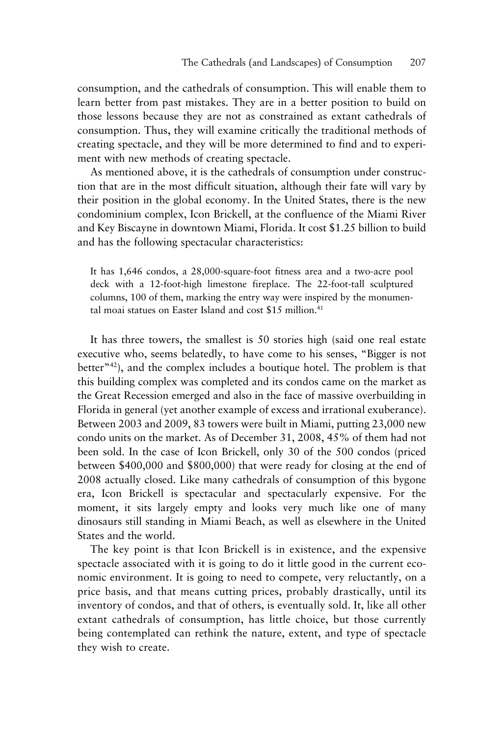consumption, and the cathedrals of consumption. This will enable them to learn better from past mistakes. They are in a better position to build on those lessons because they are not as constrained as extant cathedrals of consumption. Thus, they will examine critically the traditional methods of creating spectacle, and they will be more determined to find and to experiment with new methods of creating spectacle.

As mentioned above, it is the cathedrals of consumption under construction that are in the most difficult situation, although their fate will vary by their position in the global economy. In the United States, there is the new condominium complex, Icon Brickell, at the confluence of the Miami River and Key Biscayne in downtown Miami, Florida. It cost \$1.25 billion to build and has the following spectacular characteristics:

It has 1,646 condos, a 28,000-square-foot fitness area and a two-acre pool deck with a 12-foot-high limestone fireplace. The 22-foot-tall sculptured columns, 100 of them, marking the entry way were inspired by the monumental moai statues on Easter Island and cost \$15 million.<sup>41</sup>

It has three towers, the smallest is 50 stories high (said one real estate executive who, seems belatedly, to have come to his senses, "Bigger is not better"42), and the complex includes a boutique hotel. The problem is that this building complex was completed and its condos came on the market as the Great Recession emerged and also in the face of massive overbuilding in Florida in general (yet another example of excess and irrational exuberance). Between 2003 and 2009, 83 towers were built in Miami, putting 23,000 new condo units on the market. As of December 31, 2008, 45% of them had not been sold. In the case of Icon Brickell, only 30 of the 500 condos (priced between \$400,000 and \$800,000) that were ready for closing at the end of 2008 actually closed. Like many cathedrals of consumption of this bygone era, Icon Brickell is spectacular and spectacularly expensive. For the moment, it sits largely empty and looks very much like one of many dinosaurs still standing in Miami Beach, as well as elsewhere in the United States and the world.

The key point is that Icon Brickell is in existence, and the expensive spectacle associated with it is going to do it little good in the current economic environment. It is going to need to compete, very reluctantly, on a price basis, and that means cutting prices, probably drastically, until its inventory of condos, and that of others, is eventually sold. It, like all other extant cathedrals of consumption, has little choice, but those currently being contemplated can rethink the nature, extent, and type of spectacle they wish to create.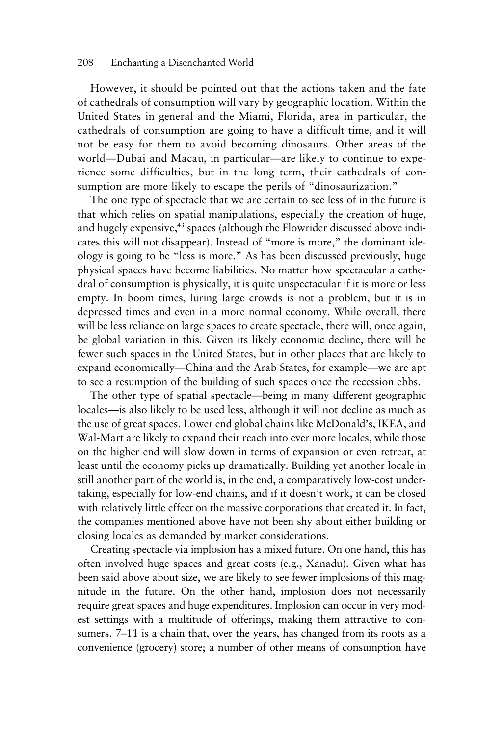However, it should be pointed out that the actions taken and the fate of cathedrals of consumption will vary by geographic location. Within the United States in general and the Miami, Florida, area in particular, the cathedrals of consumption are going to have a difficult time, and it will not be easy for them to avoid becoming dinosaurs. Other areas of the world—Dubai and Macau, in particular—are likely to continue to experience some difficulties, but in the long term, their cathedrals of consumption are more likely to escape the perils of "dinosaurization."

The one type of spectacle that we are certain to see less of in the future is that which relies on spatial manipulations, especially the creation of huge, and hugely expensive, $43$  spaces (although the Flowrider discussed above indicates this will not disappear). Instead of "more is more," the dominant ideology is going to be "less is more." As has been discussed previously, huge physical spaces have become liabilities. No matter how spectacular a cathedral of consumption is physically, it is quite unspectacular if it is more or less empty. In boom times, luring large crowds is not a problem, but it is in depressed times and even in a more normal economy. While overall, there will be less reliance on large spaces to create spectacle, there will, once again, be global variation in this. Given its likely economic decline, there will be fewer such spaces in the United States, but in other places that are likely to expand economically—China and the Arab States, for example—we are apt to see a resumption of the building of such spaces once the recession ebbs.

The other type of spatial spectacle—being in many different geographic locales—is also likely to be used less, although it will not decline as much as the use of great spaces. Lower end global chains like McDonald's, IKEA, and Wal-Mart are likely to expand their reach into ever more locales, while those on the higher end will slow down in terms of expansion or even retreat, at least until the economy picks up dramatically. Building yet another locale in still another part of the world is, in the end, a comparatively low-cost undertaking, especially for low-end chains, and if it doesn't work, it can be closed with relatively little effect on the massive corporations that created it. In fact, the companies mentioned above have not been shy about either building or closing locales as demanded by market considerations.

Creating spectacle via implosion has a mixed future. On one hand, this has often involved huge spaces and great costs (e.g., Xanadu). Given what has been said above about size, we are likely to see fewer implosions of this magnitude in the future. On the other hand, implosion does not necessarily require great spaces and huge expenditures. Implosion can occur in very modest settings with a multitude of offerings, making them attractive to consumers. 7–11 is a chain that, over the years, has changed from its roots as a convenience (grocery) store; a number of other means of consumption have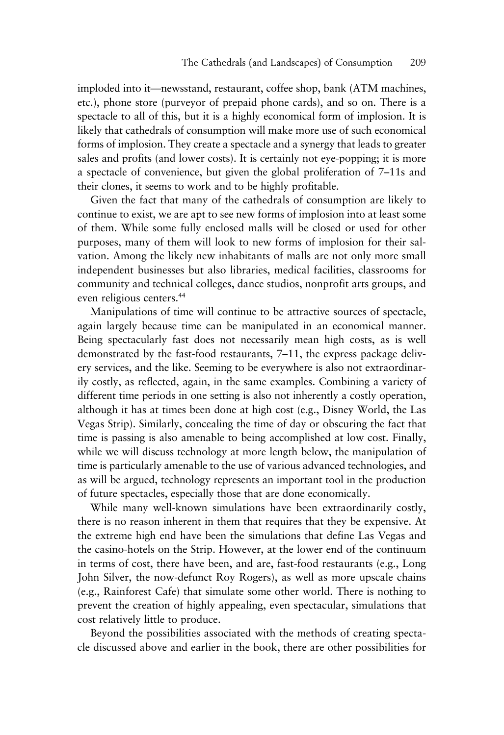imploded into it—newsstand, restaurant, coffee shop, bank (ATM machines, etc.), phone store (purveyor of prepaid phone cards), and so on. There is a spectacle to all of this, but it is a highly economical form of implosion. It is likely that cathedrals of consumption will make more use of such economical forms of implosion. They create a spectacle and a synergy that leads to greater sales and profits (and lower costs). It is certainly not eye-popping; it is more a spectacle of convenience, but given the global proliferation of 7–11s and their clones, it seems to work and to be highly profitable.

Given the fact that many of the cathedrals of consumption are likely to continue to exist, we are apt to see new forms of implosion into at least some of them. While some fully enclosed malls will be closed or used for other purposes, many of them will look to new forms of implosion for their salvation. Among the likely new inhabitants of malls are not only more small independent businesses but also libraries, medical facilities, classrooms for community and technical colleges, dance studios, nonprofit arts groups, and even religious centers.44

Manipulations of time will continue to be attractive sources of spectacle, again largely because time can be manipulated in an economical manner. Being spectacularly fast does not necessarily mean high costs, as is well demonstrated by the fast-food restaurants, 7–11, the express package delivery services, and the like. Seeming to be everywhere is also not extraordinarily costly, as reflected, again, in the same examples. Combining a variety of different time periods in one setting is also not inherently a costly operation, although it has at times been done at high cost (e.g., Disney World, the Las Vegas Strip). Similarly, concealing the time of day or obscuring the fact that time is passing is also amenable to being accomplished at low cost. Finally, while we will discuss technology at more length below, the manipulation of time is particularly amenable to the use of various advanced technologies, and as will be argued, technology represents an important tool in the production of future spectacles, especially those that are done economically.

While many well-known simulations have been extraordinarily costly, there is no reason inherent in them that requires that they be expensive. At the extreme high end have been the simulations that define Las Vegas and the casino-hotels on the Strip. However, at the lower end of the continuum in terms of cost, there have been, and are, fast-food restaurants (e.g., Long John Silver, the now-defunct Roy Rogers), as well as more upscale chains (e.g., Rainforest Cafe) that simulate some other world. There is nothing to prevent the creation of highly appealing, even spectacular, simulations that cost relatively little to produce.

Beyond the possibilities associated with the methods of creating spectacle discussed above and earlier in the book, there are other possibilities for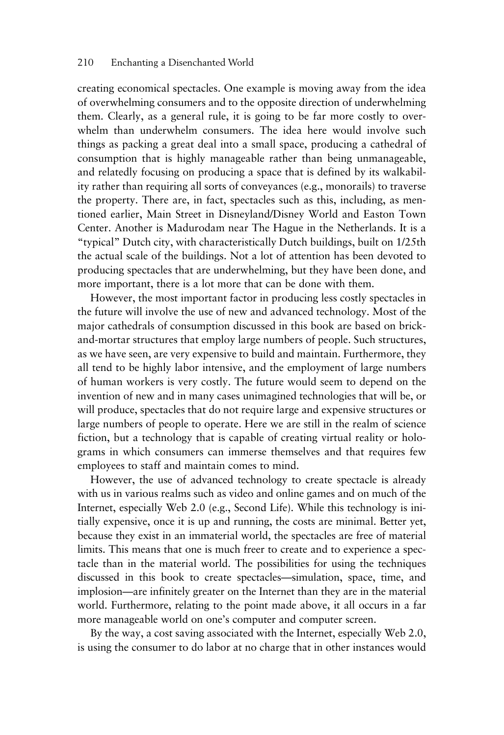creating economical spectacles. One example is moving away from the idea of overwhelming consumers and to the opposite direction of underwhelming them. Clearly, as a general rule, it is going to be far more costly to overwhelm than underwhelm consumers. The idea here would involve such things as packing a great deal into a small space, producing a cathedral of consumption that is highly manageable rather than being unmanageable, and relatedly focusing on producing a space that is defined by its walkability rather than requiring all sorts of conveyances (e.g., monorails) to traverse the property. There are, in fact, spectacles such as this, including, as mentioned earlier, Main Street in Disneyland/Disney World and Easton Town Center. Another is Madurodam near The Hague in the Netherlands. It is a "typical" Dutch city, with characteristically Dutch buildings, built on 1/25th the actual scale of the buildings. Not a lot of attention has been devoted to producing spectacles that are underwhelming, but they have been done, and more important, there is a lot more that can be done with them.

However, the most important factor in producing less costly spectacles in the future will involve the use of new and advanced technology. Most of the major cathedrals of consumption discussed in this book are based on brickand-mortar structures that employ large numbers of people. Such structures, as we have seen, are very expensive to build and maintain. Furthermore, they all tend to be highly labor intensive, and the employment of large numbers of human workers is very costly. The future would seem to depend on the invention of new and in many cases unimagined technologies that will be, or will produce, spectacles that do not require large and expensive structures or large numbers of people to operate. Here we are still in the realm of science fiction, but a technology that is capable of creating virtual reality or holograms in which consumers can immerse themselves and that requires few employees to staff and maintain comes to mind.

However, the use of advanced technology to create spectacle is already with us in various realms such as video and online games and on much of the Internet, especially Web 2.0 (e.g., Second Life). While this technology is initially expensive, once it is up and running, the costs are minimal. Better yet, because they exist in an immaterial world, the spectacles are free of material limits. This means that one is much freer to create and to experience a spectacle than in the material world. The possibilities for using the techniques discussed in this book to create spectacles—simulation, space, time, and implosion—are infinitely greater on the Internet than they are in the material world. Furthermore, relating to the point made above, it all occurs in a far more manageable world on one's computer and computer screen.

By the way, a cost saving associated with the Internet, especially Web 2.0, is using the consumer to do labor at no charge that in other instances would